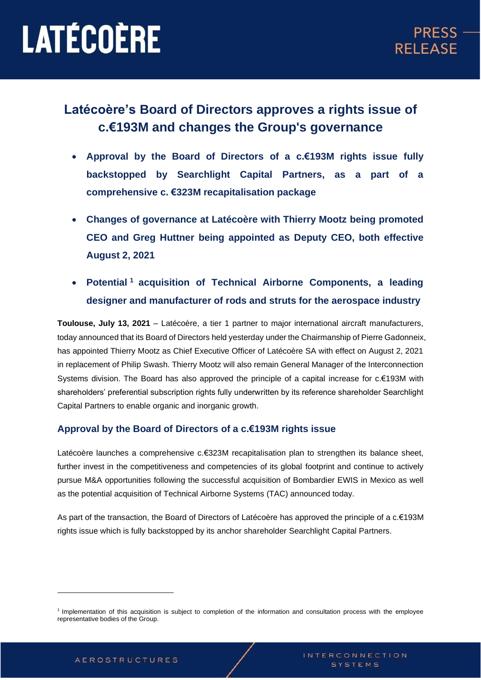### **Latécoère's Board of Directors approves a rights issue of c.€193M and changes the Group's governance**

- **Approval by the Board of Directors of a c.€193M rights issue fully backstopped by Searchlight Capital Partners, as a part of a comprehensive c. €323M recapitalisation package**
- **Changes of governance at Latécoère with Thierry Mootz being promoted CEO and Greg Huttner being appointed as Deputy CEO, both effective August 2, 2021**
- **Potential <sup>1</sup> acquisition of Technical Airborne Components, a leading designer and manufacturer of rods and struts for the aerospace industry**

**Toulouse, July 13, 2021** – Latécoère, a tier 1 partner to major international aircraft manufacturers, today announced that its Board of Directors held yesterday under the Chairmanship of Pierre Gadonneix, has appointed Thierry Mootz as Chief Executive Officer of Latécoère SA with effect on August 2, 2021 in replacement of Philip Swash. Thierry Mootz will also remain General Manager of the Interconnection Systems division. The Board has also approved the principle of a capital increase for c.€193M with shareholders' preferential subscription rights fully underwritten by its reference shareholder Searchlight Capital Partners to enable organic and inorganic growth.

#### **Approval by the Board of Directors of a c.€193M rights issue**

Latécoère launches a comprehensive c.€323M recapitalisation plan to strengthen its balance sheet, further invest in the competitiveness and competencies of its global footprint and continue to actively pursue M&A opportunities following the successful acquisition of Bombardier EWIS in Mexico as well as the potential acquisition of Technical Airborne Systems (TAC) announced today.

As part of the transaction, the Board of Directors of Latécoère has approved the principle of a c.€193M rights issue which is fully backstopped by its anchor shareholder Searchlight Capital Partners.

<sup>&</sup>lt;sup>1</sup> Implementation of this acquisition is subject to completion of the information and consultation process with the employee representative bodies of the Group.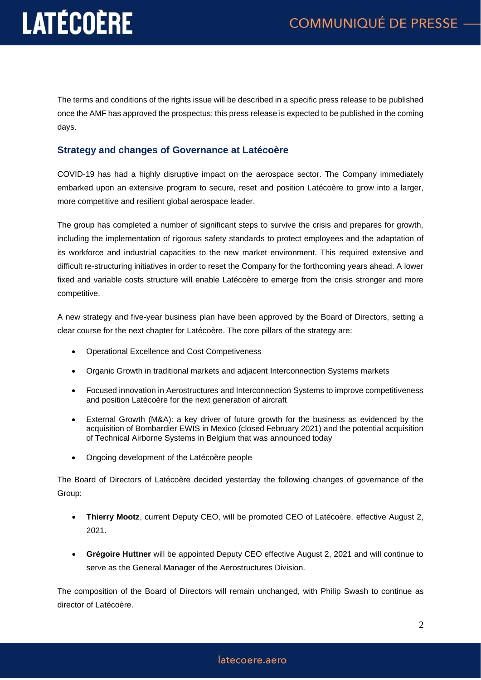The terms and conditions of the rights issue will be described in a specific press release to be published once the AMF has approved the prospectus; this press release is expected to be published in the coming days.

#### **Strategy and changes of Governance at Latécoère**

COVID-19 has had a highly disruptive impact on the aerospace sector. The Company immediately embarked upon an extensive program to secure, reset and position Latécoère to grow into a larger, more competitive and resilient global aerospace leader.

The group has completed a number of significant steps to survive the crisis and prepares for growth, including the implementation of rigorous safety standards to protect employees and the adaptation of its workforce and industrial capacities to the new market environment. This required extensive and difficult re-structuring initiatives in order to reset the Company for the forthcoming years ahead. A lower fixed and variable costs structure will enable Latécoère to emerge from the crisis stronger and more competitive.

A new strategy and five-year business plan have been approved by the Board of Directors, setting a clear course for the next chapter for Latécoère. The core pillars of the strategy are:

- Operational Excellence and Cost Competiveness
- Organic Growth in traditional markets and adjacent Interconnection Systems markets
- Focused innovation in Aerostructures and Interconnection Systems to improve competitiveness and position Latécoère for the next generation of aircraft
- External Growth (M&A): a key driver of future growth for the business as evidenced by the acquisition of Bombardier EWIS in Mexico (closed February 2021) and the potential acquisition of Technical Airborne Systems in Belgium that was announced today
- Ongoing development of the Latécoère people

The Board of Directors of Latécoère decided yesterday the following changes of governance of the Group:

- **Thierry Mootz**, current Deputy CEO, will be promoted CEO of Latécoère, effective August 2, 2021.
- **Grégoire Huttner** will be appointed Deputy CEO effective August 2, 2021 and will continue to serve as the General Manager of the Aerostructures Division.

The composition of the Board of Directors will remain unchanged, with Philip Swash to continue as director of Latécoère.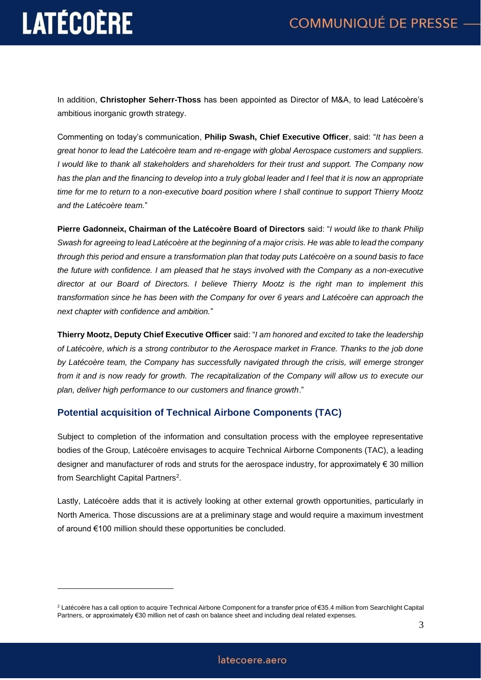In addition, **Christopher Seherr-Thoss** has been appointed as Director of M&A, to lead Latécoère's ambitious inorganic growth strategy.

Commenting on today's communication, **Philip Swash, Chief Executive Officer**, said: "*It has been a great honor to lead the Latécoère team and re-engage with global Aerospace customers and suppliers. I would like to thank all stakeholders and shareholders for their trust and support. The Company now has the plan and the financing to develop into a truly global leader and I feel that it is now an appropriate time for me to return to a non-executive board position where I shall continue to support Thierry Mootz and the Latécoère team.*"

**Pierre Gadonneix, Chairman of the Latécoère Board of Directors** said: "*I would like to thank Philip Swash for agreeing to lead Latécoère at the beginning of a major crisis. He was able to lead the company through this period and ensure a transformation plan that today puts Latécoère on a sound basis to face the future with confidence. I am pleased that he stays involved with the Company as a non-executive director at our Board of Directors. I believe Thierry Mootz is the right man to implement this transformation since he has been with the Company for over 6 years and Latécoère can approach the next chapter with confidence and ambition.*"

**Thierry Mootz, Deputy Chief Executive Officer** said: "*I am honored and excited to take the leadership of Latécoère, which is a strong contributor to the Aerospace market in France. Thanks to the job done by Latécoère team, the Company has successfully navigated through the crisis, will emerge stronger from it and is now ready for growth. The recapitalization of the Company will allow us to execute our plan, deliver high performance to our customers and finance growth*."

#### **Potential acquisition of Technical Airbone Components (TAC)**

Subject to completion of the information and consultation process with the employee representative bodies of the Group, Latécoère envisages to acquire Technical Airborne Components (TAC), a leading designer and manufacturer of rods and struts for the aerospace industry, for approximately € 30 million from Searchlight Capital Partners<sup>2</sup>.

Lastly, Latécoère adds that it is actively looking at other external growth opportunities, particularly in North America. Those discussions are at a preliminary stage and would require a maximum investment of around €100 million should these opportunities be concluded.

<sup>2</sup> Latécoère has a call option to acquire Technical Airbone Component for a transfer price of €35.4 million from Searchlight Capital Partners, or approximately €30 million net of cash on balance sheet and including deal related expenses.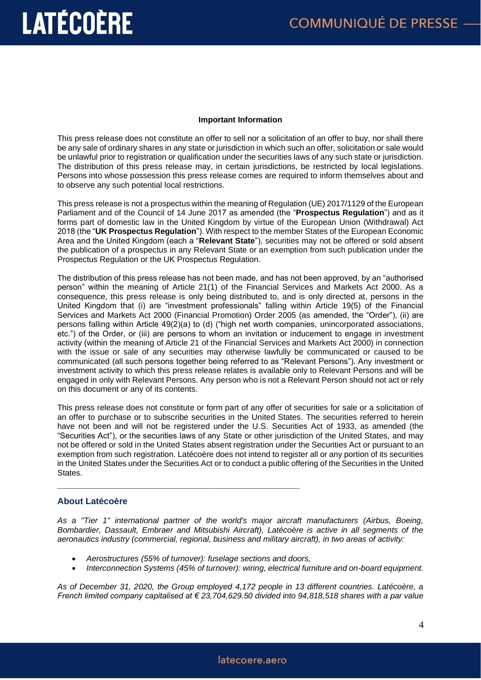#### **Important Information**

This press release does not constitute an offer to sell nor a solicitation of an offer to buy, nor shall there be any sale of ordinary shares in any state or jurisdiction in which such an offer, solicitation or sale would be unlawful prior to registration or qualification under the securities laws of any such state or jurisdiction. The distribution of this press release may, in certain jurisdictions, be restricted by local legislations. Persons into whose possession this press release comes are required to inform themselves about and to observe any such potential local restrictions.

This press release is not a prospectus within the meaning of Regulation (UE) 2017/1129 of the European Parliament and of the Council of 14 June 2017 as amended (the "**Prospectus Regulation**") and as it forms part of domestic law in the United Kingdom by virtue of the European Union (Withdrawal) Act 2018 (the "**UK Prospectus Regulation**"). With respect to the member States of the European Economic Area and the United Kingdom (each a "**Relevant State**"), securities may not be offered or sold absent the publication of a prospectus in any Relevant State or an exemption from such publication under the Prospectus Regulation or the UK Prospectus Regulation.

The distribution of this press release has not been made, and has not been approved, by an "authorised person" within the meaning of Article 21(1) of the Financial Services and Markets Act 2000. As a consequence, this press release is only being distributed to, and is only directed at, persons in the United Kingdom that (i) are "investment professionals" falling within Article 19(5) of the Financial Services and Markets Act 2000 (Financial Promotion) Order 2005 (as amended, the "Order"), (ii) are persons falling within Article 49(2)(a) to (d) ("high net worth companies, unincorporated associations, etc.") of the Order, or (iii) are persons to whom an invitation or inducement to engage in investment activity (within the meaning of Article 21 of the Financial Services and Markets Act 2000) in connection with the issue or sale of any securities may otherwise lawfully be communicated or caused to be communicated (all such persons together being referred to as "Relevant Persons"). Any investment or investment activity to which this press release relates is available only to Relevant Persons and will be engaged in only with Relevant Persons. Any person who is not a Relevant Person should not act or rely on this document or any of its contents.

This press release does not constitute or form part of any offer of securities for sale or a solicitation of an offer to purchase or to subscribe securities in the United States. The securities referred to herein have not been and will not be registered under the U.S. Securities Act of 1933, as amended (the "Securities Act"), or the securities laws of any State or other jurisdiction of the United States, and may not be offered or sold in the United States absent registration under the Securities Act or pursuant to an exemption from such registration. Latécoère does not intend to register all or any portion of its securities in the United States under the Securities Act or to conduct a public offering of the Securities in the United States.

#### **About Latécoère**

*As a "Tier 1" international partner of the world's major aircraft manufacturers (Airbus, Boeing, Bombardier, Dassault, Embraer and Mitsubishi Aircraft), Latécoère is active in all segments of the aeronautics industry (commercial, regional, business and military aircraft), in two areas of activity:*

• *Aerostructures (55% of turnover): fuselage sections and doors,* 

\_\_\_\_\_\_\_\_\_\_\_\_\_\_\_\_\_\_\_\_\_\_\_\_\_\_\_\_\_\_\_\_\_\_\_\_\_\_\_\_\_\_\_\_\_\_\_\_\_\_\_\_\_\_\_\_\_\_\_\_\_\_\_\_\_\_\_\_\_\_\_\_\_\_\_

• *Interconnection Systems (45% of turnover): wiring, electrical furniture and on-board equipment.*

*As of December 31, 2020, the Group employed 4,172 people in 13 different countries. Latécoère, a French limited company capitalised at € 23,704,629.50 divided into 94,818,518 shares with a par value*